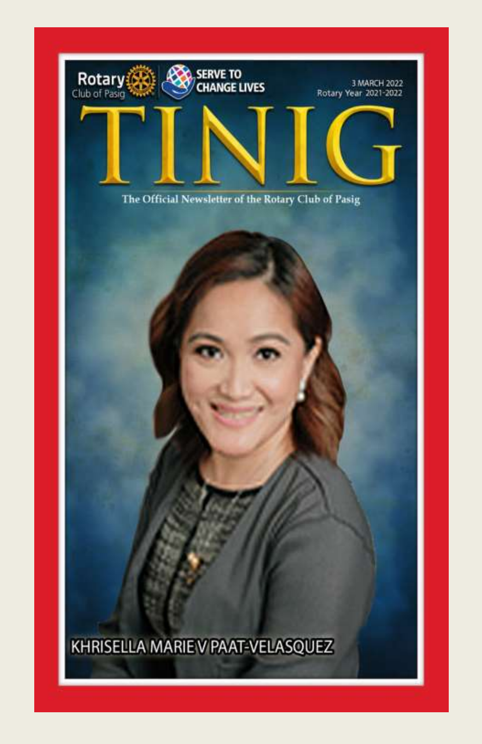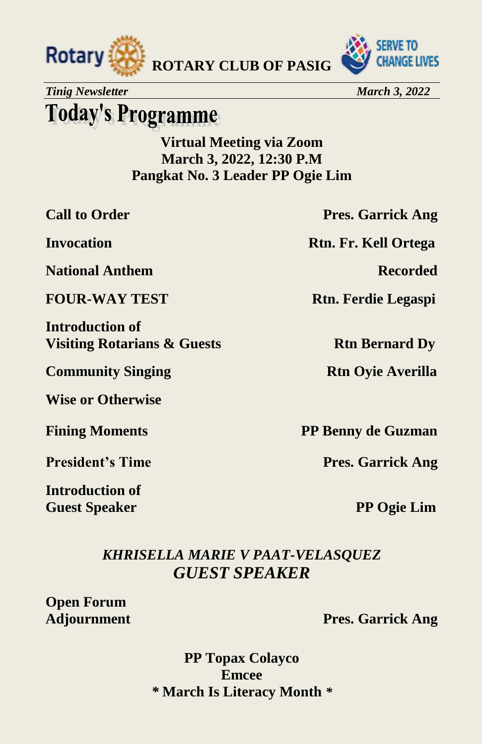



*Tinig Newsletter* March 3, 2022

# **Today's Programme**

**Virtual Meeting via Zoom March 3, 2022, 12:30 P.M Pangkat No. 3 Leader PP Ogie Lim**

**National Anthem Recorded** 

**Introduction of Visiting Rotarians & Guests Rtn Bernard Dy** 

**Community Singing Rtn Oyie Averilla** 

**Wise or Otherwise** 

**Introduction of Guest Speaker PP Ogie Lim** 

**Call to Order Pres. Garrick Ang** 

**Invocation Rtn. Fr. Kell Ortega** 

**FOUR-WAY TEST** Rtn. Ferdie Legaspi

**Fining Moments PP Benny de Guzman** 

**President's Time Pres. Garrick Ang** 

## *KHRISELLA MARIE V PAAT-VELASQUEZ GUEST SPEAKER*

**Open Forum**

**Adjournment Pres. Garrick Ang** 

**PP Topax Colayco Emcee**  *\** **March Is Literacy Month** *\**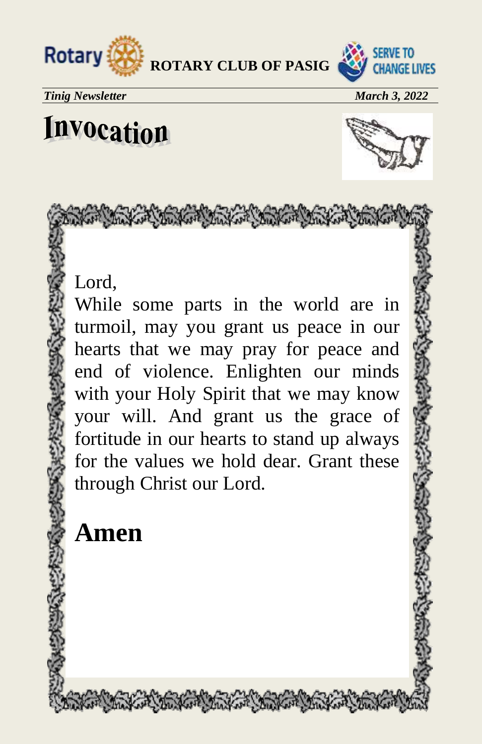

the first think one that we have the first to



*Tinig Newsletter March 3, 2022* 

# Invocation



Lord,

While some parts in the world are in turmoil, may you grant us peace in our hearts that we may pray for peace and end of violence. Enlighten our minds with your Holy Spirit that we may know your will. And grant us the grace of fortitude in our hearts to stand up always for the values we hold dear. Grant these through Christ our Lord.

**Amen**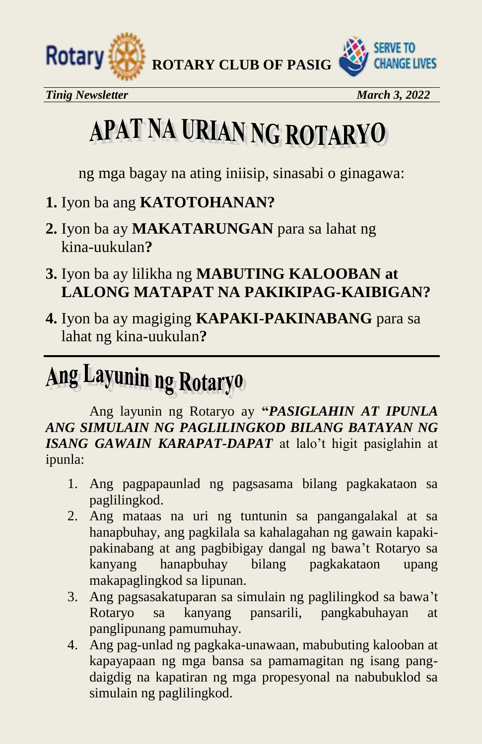

# APAT NA URIAN NG ROTARYO

ng mga bagay na ating iniisip, sinasabi o ginagawa:

- **1.** Iyon ba ang **KATOTOHANAN?**
- **2.** Iyon ba ay **MAKATARUNGAN** para sa lahat ng kina-uukulan**?**
- **3.** Iyon ba ay lilikha ng **MABUTING KALOOBAN at LALONG MATAPAT NA PAKIKIPAG-KAIBIGAN?**
- **4.** Iyon ba ay magiging **KAPAKI-PAKINABANG** para sa lahat ng kina-uukulan**?**

# Ang Layunin ng Rotaryo

Ang layunin ng Rotaryo ay **"***PASIGLAHIN AT IPUNLA ANG SIMULAIN NG PAGLILINGKOD BILANG BATAYAN NG ISANG GAWAIN KARAPAT-DAPAT* at lalo't higit pasiglahin at ipunla:

- 1. Ang pagpapaunlad ng pagsasama bilang pagkakataon sa paglilingkod.
- 2. Ang mataas na uri ng tuntunin sa pangangalakal at sa hanapbuhay, ang pagkilala sa kahalagahan ng gawain kapakipakinabang at ang pagbibigay dangal ng bawa't Rotaryo sa kanyang hanapbuhay bilang pagkakataon upang makapaglingkod sa lipunan.
- 3. Ang pagsasakatuparan sa simulain ng paglilingkod sa bawa't Rotaryo sa kanyang pansarili, pangkabuhayan at panglipunang pamumuhay.
- 4. Ang pag-unlad ng pagkaka-unawaan, mabubuting kalooban at kapayapaan ng mga bansa sa pamamagitan ng isang pangdaigdig na kapatiran ng mga propesyonal na nabubuklod sa simulain ng paglilingkod.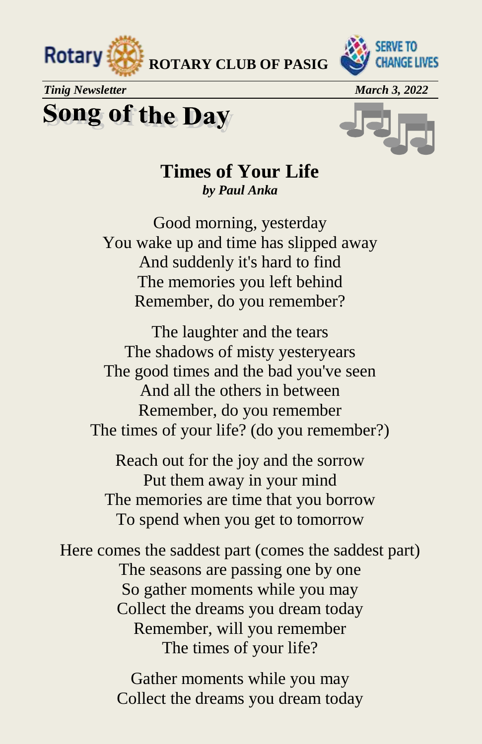

**Song of the Day** 



## **Times of Your Life**  *by [Paul Anka](https://www.google.com/search?q=Paul+Anka&stick=H4sIAAAAAAAAAONgVuLQz9U3KMhNr1rEyhmQWJqj4JiXnQgA-NKQjhgAAAA&sa=X&ved=2ahUKEwivh9brwaf2AhWF62EKHeXOBhcQMXoECAgQAw)*

 **ROTARY CLUB OF PASIG** 

Good morning, yesterday You wake up and time has slipped away And suddenly it's hard to find The memories you left behind Remember, do you remember?

The laughter and the tears The shadows of misty yesteryears The good times and the bad you've seen And all the others in between Remember, do you remember The times of your life? (do you remember?)

Reach out for the joy and the sorrow Put them away in your mind The memories are time that you borrow To spend when you get to tomorrow

Here comes the saddest part (comes the saddest part) The seasons are passing one by one So gather moments while you may Collect the dreams you dream today Remember, will you remember The times of your life?

> Gather moments while you may Collect the dreams you dream today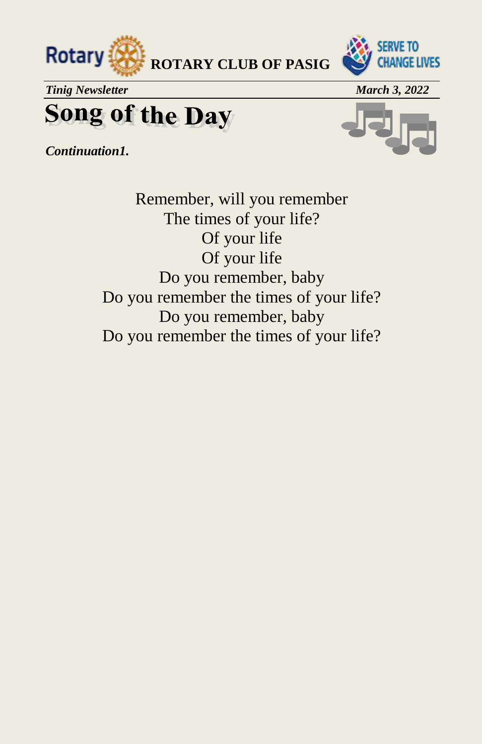



# **Song of the Day**

*Continuation1.* 



Remember, will you remember The times of your life? Of your life Of your life Do you remember, baby Do you remember the times of your life? Do you remember, baby Do you remember the times of your life?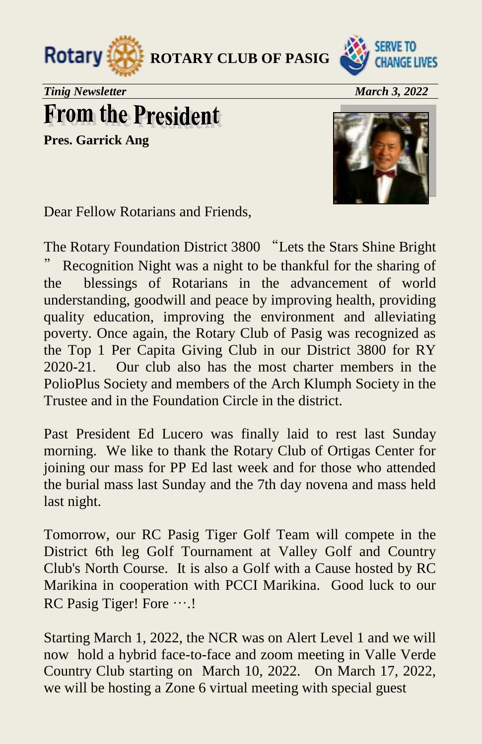



*Tinig Newsletter March 3, 2022* 

# **From the President**

**Pres. Garrick Ang**



Dear Fellow Rotarians and Friends,

The Rotary Foundation District 3800 "Lets the Stars Shine Bright Recognition Night was a night to be thankful for the sharing of the blessings of Rotarians in the advancement of world understanding, goodwill and peace by improving health, providing quality education, improving the environment and alleviating poverty. Once again, the Rotary Club of Pasig was recognized as the Top 1 Per Capita Giving Club in our District 3800 for RY 2020-21. Our club also has the most charter members in the PolioPlus Society and members of the Arch Klumph Society in the Trustee and in the Foundation Circle in the district.

Past President Ed Lucero was finally laid to rest last Sunday morning. We like to thank the Rotary Club of Ortigas Center for joining our mass for PP Ed last week and for those who attended the burial mass last Sunday and the 7th day novena and mass held last night.

Tomorrow, our RC Pasig Tiger Golf Team will compete in the District 6th leg Golf Tournament at Valley Golf and Country Club's North Course. It is also a Golf with a Cause hosted by RC Marikina in cooperation with PCCI Marikina. Good luck to our RC Pasig Tiger! Fore ….!

Starting March 1, 2022, the NCR was on Alert Level 1 and we will now hold a hybrid face-to-face and zoom meeting in Valle Verde Country Club starting on March 10, 2022. On March 17, 2022, we will be hosting a Zone 6 virtual meeting with special guest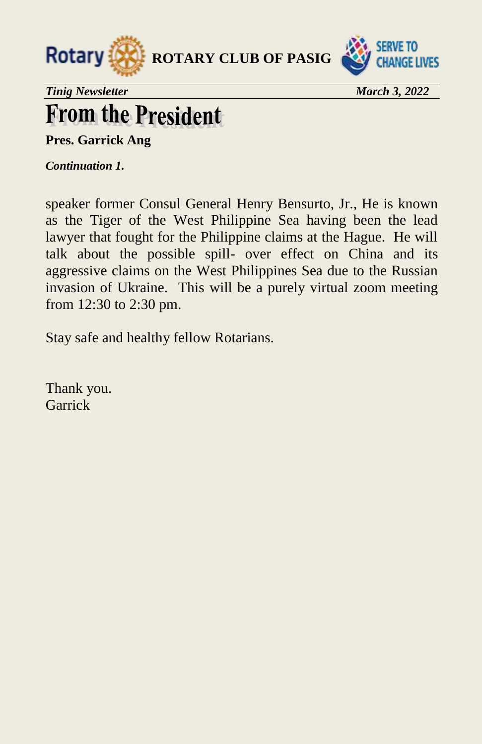

*Tinig Newsletter March 3, 2022 March 3, 2022* 

# **From the President**

**Pres. Garrick Ang**

*Continuation 1.* 

speaker former Consul General Henry Bensurto, Jr., He is known as the Tiger of the West Philippine Sea having been the lead lawyer that fought for the Philippine claims at the Hague. He will talk about the possible spill- over effect on China and its aggressive claims on the West Philippines Sea due to the Russian invasion of Ukraine. This will be a purely virtual zoom meeting from 12:30 to 2:30 pm.

Stay safe and healthy fellow Rotarians.

Thank you. Garrick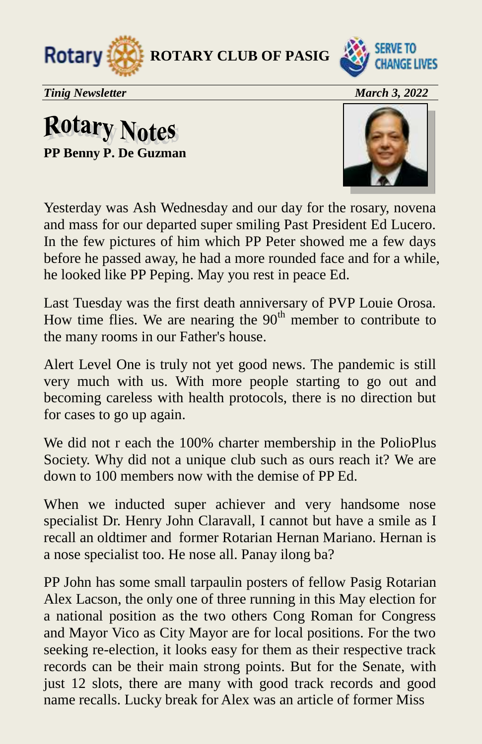



*Tinig Newsletter* March 3, 2022

# **Rotary Notes PP Benny P. De Guzman**



Yesterday was Ash Wednesday and our day for the rosary, novena and mass for our departed super smiling Past President Ed Lucero. In the few pictures of him which PP Peter showed me a few days before he passed away, he had a more rounded face and for a while, he looked like PP Peping. May you rest in peace Ed.

Last Tuesday was the first death anniversary of PVP Louie Orosa. How time flies. We are nearing the  $90<sup>th</sup>$  member to contribute to the many rooms in our Father's house.

Alert Level One is truly not yet good news. The pandemic is still very much with us. With more people starting to go out and becoming careless with health protocols, there is no direction but for cases to go up again.

We did not r each the 100% charter membership in the PolioPlus Society. Why did not a unique club such as ours reach it? We are down to 100 members now with the demise of PP Ed.

When we inducted super achiever and very handsome nose specialist Dr. Henry John Claravall, I cannot but have a smile as I recall an oldtimer and former Rotarian Hernan Mariano. Hernan is a nose specialist too. He nose all. Panay ilong ba?

PP John has some small tarpaulin posters of fellow Pasig Rotarian Alex Lacson, the only one of three running in this May election for a national position as the two others Cong Roman for Congress and Mayor Vico as City Mayor are for local positions. For the two seeking re-election, it looks easy for them as their respective track records can be their main strong points. But for the Senate, with just 12 slots, there are many with good track records and good name recalls. Lucky break for Alex was an article of former Miss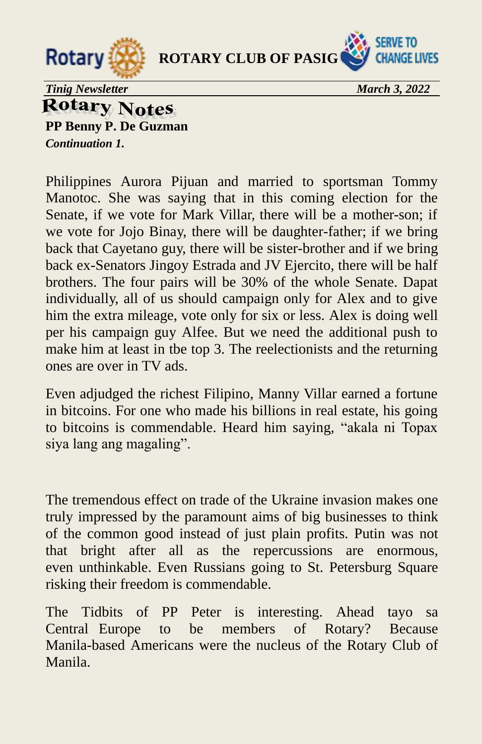



*Tinig Newsletter* March 3, 2022

**Rotary Notes PP Benny P. De Guzman** 

*Continuation 1.* 

Philippines Aurora Pijuan and married to sportsman Tommy Manotoc. She was saying that in this coming election for the Senate, if we vote for Mark Villar, there will be a mother-son; if we vote for Jojo Binay, there will be daughter-father; if we bring back that Cayetano guy, there will be sister-brother and if we bring back ex-Senators Jingoy Estrada and JV Ejercito, there will be half brothers. The four pairs will be 30% of the whole Senate. Dapat individually, all of us should campaign only for Alex and to give him the extra mileage, vote only for six or less. Alex is doing well per his campaign guy Alfee. But we need the additional push to make him at least in tbe top 3. The reelectionists and the returning ones are over in TV ads.

Even adjudged the richest Filipino, Manny Villar earned a fortune in bitcoins. For one who made his billions in real estate, his going to bitcoins is commendable. Heard him saying, "akala ni Topax siya lang ang magaling".

The tremendous effect on trade of the Ukraine invasion makes one truly impressed by the paramount aims of big businesses to think of the common good instead of just plain profits. Putin was not that bright after all as the repercussions are enormous, even unthinkable. Even Russians going to St. Petersburg Square risking their freedom is commendable.

The Tidbits of PP Peter is interesting. Ahead tayo sa Central Europe to be members of Rotary? Because Manila-based Americans were the nucleus of the Rotary Club of Manila.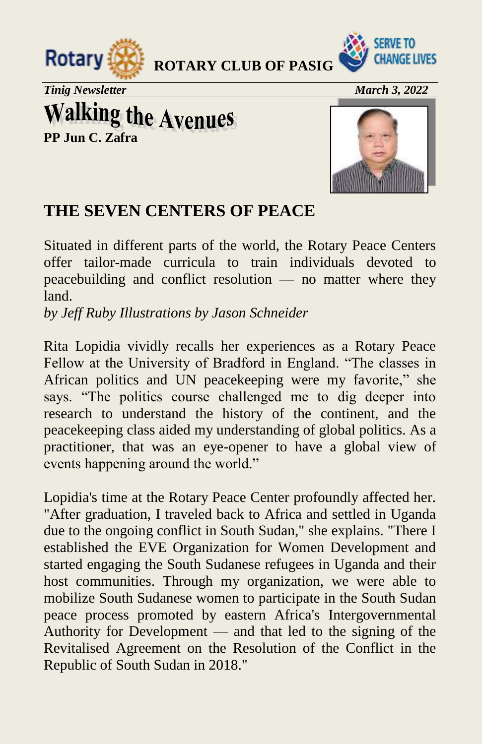



*Tinig Newsletter* March 3, 2022

# **Walking the Avenues PP Jun C. Zafra**



## **THE SEVEN CENTERS OF PEACE**

Situated in different parts of the world, the Rotary Peace Centers offer tailor-made curricula to train individuals devoted to peacebuilding and conflict resolution — no matter where they land.

*by Jeff Ruby Illustrations by Jason Schneider* 

Rita Lopidia vividly recalls her experiences as a Rotary Peace Fellow at the University of Bradford in England. "The classes in African politics and UN peacekeeping were my favorite," she says. "The politics course challenged me to dig deeper into research to understand the history of the continent, and the peacekeeping class aided my understanding of global politics. As a practitioner, that was an eye-opener to have a global view of events happening around the world."

Lopidia's time at the Rotary Peace Center profoundly affected her. "After graduation, I traveled back to Africa and settled in Uganda due to the ongoing conflict in South Sudan," she explains. "There I established the EVE Organization for Women Development and started engaging the South Sudanese refugees in Uganda and their host communities. Through my organization, we were able to mobilize South Sudanese women to participate in the South Sudan peace process promoted by eastern Africa's Intergovernmental Authority for Development — and that led to the signing of the Revitalised Agreement on the Resolution of the Conflict in the Republic of South Sudan in 2018."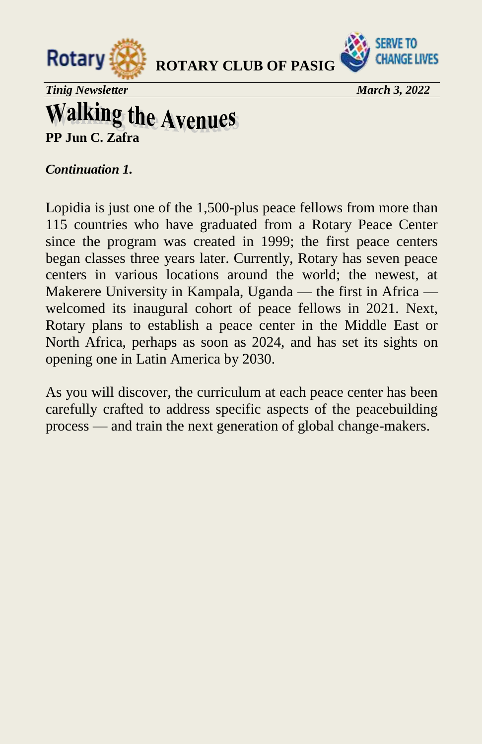



*Tinig Newsletter* March 3, 2022

## **Walking the Avenues PP Jun C. Zafra**

*Continuation 1.* 

Lopidia is just one of the 1,500-plus peace fellows from more than 115 countries who have graduated from a Rotary Peace Center since the program was created in 1999; the first peace centers began classes three years later. Currently, Rotary has seven peace centers in various locations around the world; the newest, at Makerere University in Kampala, Uganda — the first in Africa welcomed its inaugural cohort of peace fellows in 2021. Next, Rotary plans to establish a peace center in the Middle East or North Africa, perhaps as soon as 2024, and has set its sights on opening one in Latin America by 2030.

As you will discover, the curriculum at each peace center has been carefully crafted to address specific aspects of the peacebuilding process — and train the next generation of global change-makers.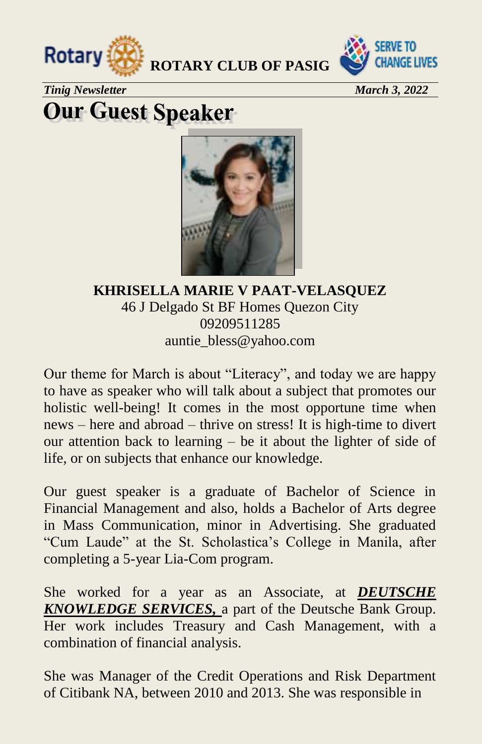



*Tinig Newsletter* March 3, 2022





#### **KHRISELLA MARIE V PAAT-VELASQUEZ**  46 J Delgado St BF Homes Quezon City 09209511285 auntie\_bless@yahoo.com

Our theme for March is about "Literacy", and today we are happy to have as speaker who will talk about a subject that promotes our holistic well-being! It comes in the most opportune time when news – here and abroad – thrive on stress! It is high-time to divert our attention back to learning – be it about the lighter of side of life, or on subjects that enhance our knowledge.

Our guest speaker is a graduate of Bachelor of Science in Financial Management and also, holds a Bachelor of Arts degree in Mass Communication, minor in Advertising. She graduated ―Cum Laude‖ at the St. Scholastica's College in Manila, after completing a 5-year Lia-Com program.

She worked for a year as an Associate, at *DEUTSCHE KNOWLEDGE SERVICES,* a part of the Deutsche Bank Group. Her work includes Treasury and Cash Management, with a combination of financial analysis.

She was Manager of the Credit Operations and Risk Department of Citibank NA, between 2010 and 2013. She was responsible in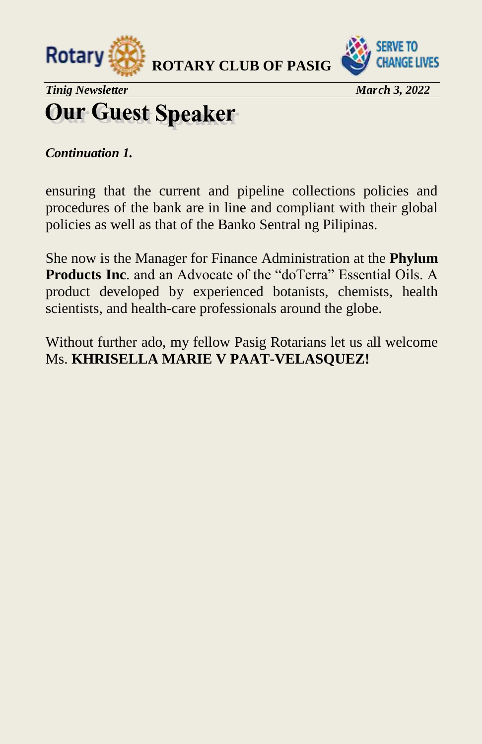



## *Tinig Newsletter* March 3, 2022

# **Our Guest Speaker**

*Continuation 1.* 

ensuring that the current and pipeline collections policies and procedures of the bank are in line and compliant with their global policies as well as that of the Banko Sentral ng Pilipinas.

She now is the Manager for Finance Administration at the **Phylum Products Inc.** and an Advocate of the "doTerra" Essential Oils. A product developed by experienced botanists, chemists, health scientists, and health-care professionals around the globe.

Without further ado, my fellow Pasig Rotarians let us all welcome Ms. **KHRISELLA MARIE V PAAT-VELASQUEZ!**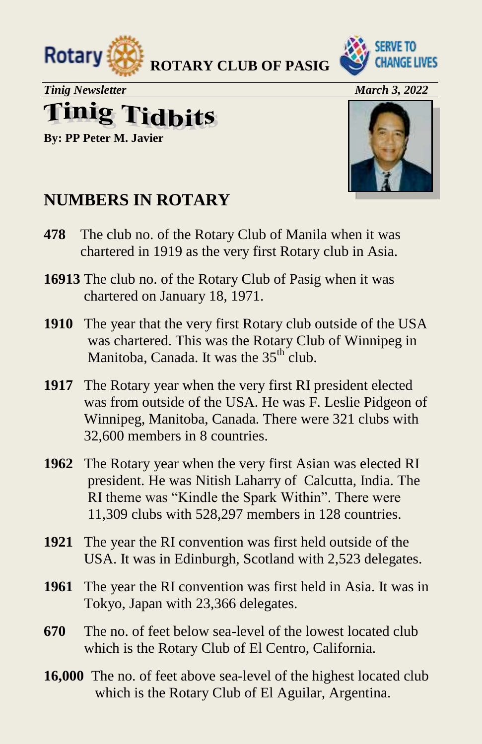



*Tinig Newsletter* March 3, 2022 **Tinig Tidbits** 

**By: PP Peter M. Javier**



## **NUMBERS IN ROTARY**

- **478** The club no. of the Rotary Club of Manila when it was chartered in 1919 as the very first Rotary club in Asia.
- **16913** The club no. of the Rotary Club of Pasig when it was chartered on January 18, 1971.
- **1910** The year that the very first Rotary club outside of the USA was chartered. This was the Rotary Club of Winnipeg in Manitoba, Canada. It was the 35<sup>th</sup> club.
- **1917** The Rotary year when the very first RI president elected was from outside of the USA. He was F. Leslie Pidgeon of Winnipeg, Manitoba, Canada. There were 321 clubs with 32,600 members in 8 countries.
- **1962** The Rotary year when the very first Asian was elected RI president. He was Nitish Laharry of Calcutta, India. The RI theme was "Kindle the Spark Within". There were 11,309 clubs with 528,297 members in 128 countries.
- **1921** The year the RI convention was first held outside of the USA. It was in Edinburgh, Scotland with 2,523 delegates.
- **1961** The year the RI convention was first held in Asia. It was in Tokyo, Japan with 23,366 delegates.
- **670** The no. of feet below sea-level of the lowest located club which is the Rotary Club of El Centro, California.
- **16,000** The no. of feet above sea-level of the highest located club which is the Rotary Club of El Aguilar, Argentina.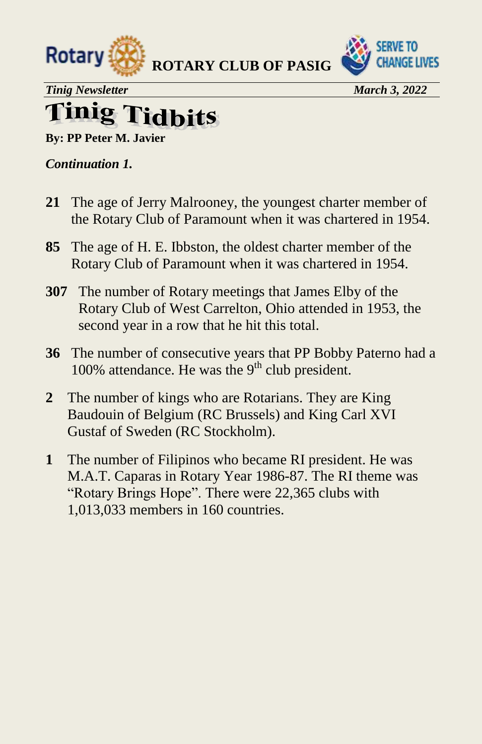



*Tinig Newsletter* March 3, 2022

# **Tinig Tidbits**

**By: PP Peter M. Javier** 

*Continuation 1.* 

- **21** The age of Jerry Malrooney, the youngest charter member of the Rotary Club of Paramount when it was chartered in 1954.
- **85** The age of H. E. Ibbston, the oldest charter member of the Rotary Club of Paramount when it was chartered in 1954.
- **307** The number of Rotary meetings that James Elby of the Rotary Club of West Carrelton, Ohio attended in 1953, the second year in a row that he hit this total.
- **36** The number of consecutive years that PP Bobby Paterno had a 100% attendance. He was the 9<sup>th</sup> club president.
- **2** The number of kings who are Rotarians. They are King Baudouin of Belgium (RC Brussels) and King Carl XVI Gustaf of Sweden (RC Stockholm).
- **1** The number of Filipinos who became RI president. He was M.A.T. Caparas in Rotary Year 1986-87. The RI theme was "Rotary Brings Hope". There were 22,365 clubs with 1,013,033 members in 160 countries.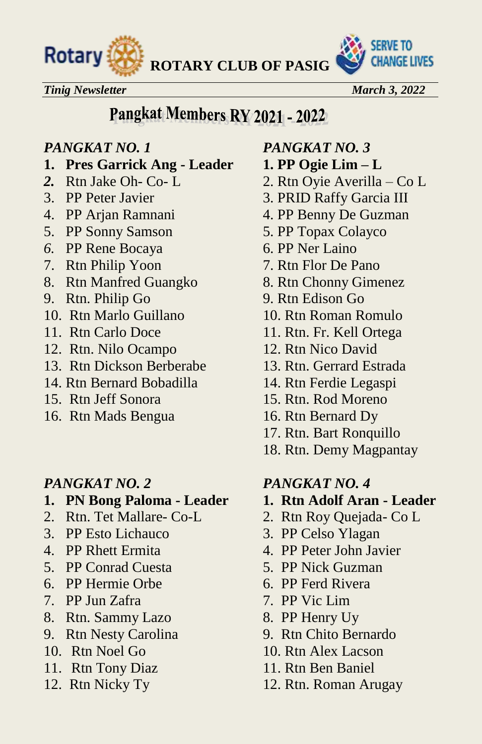



#### *Tinig Newsletter* March 3, 2022

## Pangkat Members RY 2021 - 2022

- **1. Pres Garrick Ang Leader 1. PP Ogie Lim – L**
- 
- 
- 
- 5. PP Sonny Samson 5. PP Topax Colayco
- *6.* PP Rene Bocaya 6. PP Ner Laino
- 7. Rtn Philip Yoon 7. Rtn Flor De Pano
- 8. Rtn Manfred Guangko 8. Rtn Chonny Gimenez
- 9. Rtn. Philip Go 9. Rtn Edison Go
- 10. Rtn Marlo Guillano 10. Rtn Roman Romulo
- 
- 12. Rtn. Nilo Ocampo 12. Rtn Nico David
- 13. Rtn Dickson Berberabe 13. Rtn. Gerrard Estrada
- 14. Rtn Bernard Bobadilla 14. Rtn Ferdie Legaspi
- 
- 16. Rtn Mads Bengua 16. Rtn Bernard Dy

- 1. PN Bong Paloma Leader 1. Rtn Adolf Aran Leader
- 
- 3. PP Esto Lichauco 3. PP Celso Ylagan
- 
- 5. PP Conrad Cuesta 5. PP Nick Guzman
- 6. PP Hermie Orbe 6. PP Ferd Rivera
- 7. PP Jun Zafra 7. PP Vic Lim
- 8. Rtn. Sammy Lazo 8. PP Henry Uy
- 9. Rtn Nesty Carolina 9. Rtn Chito Bernardo
- 
- 11. Rtn Tony Diaz 11. Rtn Ben Baniel
- 

### *PANGKAT NO. 1 PANGKAT NO. 3*

- 
- *2.* Rtn Jake Oh- Co- L 2. Rtn Oyie Averilla Co L
- 3. PP Peter Javier 3. PRID Raffy Garcia III
- 4. PP Arjan Ramnani 4. PP Benny De Guzman
	-
	-
	-
	-
	-
	-
- 11. Rtn Carlo Doce 11. Rtn. Fr. Kell Ortega
	-
	-
	-
- 15. Rtn Jeff Sonora 15. Rtn. Rod Moreno
	-
	- 17. Rtn. Bart Ronquillo
	- 18. Rtn. Demy Magpantay

## *PANGKAT NO. 2 PANGKAT NO. 4*

- 
- 2. Rtn. Tet Mallare- Co-L 2. Rtn Roy Quejada- Co L
	-
- 4. PP Rhett Ermita 4. PP Peter John Javier
	-
	-
	-
	-
	-
- 10. Rtn Noel Go 10. Rtn Alex Lacson
	-
- 12. Rtn Nicky Ty 12. Rtn. Roman Arugay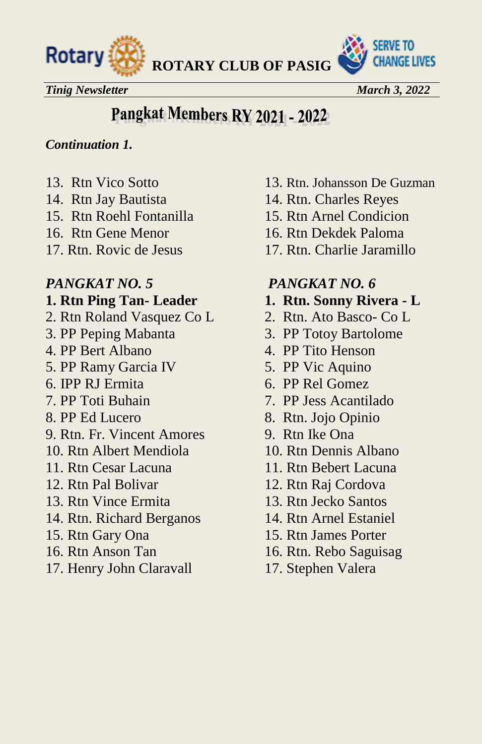



*Tinig Newsletter* March 3, 2022

# Pangkat Members RY 2021 - 2022

#### *Continuation 1.*

- 
- 
- 15. Rtn Roehl Fontanilla 15. Rtn Arnel Condicion
- 
- 

- 2. Rtn Roland Vasquez Co L 2. Rtn. Ato Basco- Co L
- 
- 
- 5. PP Ramy Garcia IV 5. PP Vic Aquino
- 
- 
- 
- 9. Rtn. Fr. Vincent Amores 9. Rtn Ike Ona
- 
- 
- 
- 13. Rtn Vince Ermita 13. Rtn Jecko Santos
- 14. Rtn. Richard Berganos 14. Rtn Arnel Estaniel
- 
- 
- 17. Henry John Claravall 17. Stephen Valera
- 13. Rtn Vico Sotto 13. Rtn. Johansson De Guzman
- 14. Rtn Jay Bautista 14. Rtn. Charles Reyes
	-
- 16. Rtn Gene Menor 16. Rtn Dekdek Paloma
- 17. Rtn. Rovic de Jesus 17. Rtn. Charlie Jaramillo

#### *PANGKAT NO. 5 PANGKAT NO. 6*

- **1. Rtn Ping Tan- Leader 1. Rtn. Sonny Rivera - L**
	-
- 3. PP Peping Mabanta 3. PP Totoy Bartolome
- 4. PP Bert Albano 4. PP Tito Henson
	-
- 6. IPP RJ Ermita 6. PP Rel Gomez
- 7. PP Toti Buhain 7. PP Jess Acantilado
- 8. PP Ed Lucero 8. Rtn. Jojo Opinio
	-
- 10. Rtn Albert Mendiola 10. Rtn Dennis Albano
- 11. Rtn Cesar Lacuna 11. Rtn Bebert Lacuna
- 12. Rtn Pal Bolivar 12. Rtn Raj Cordova
	-
	-
- 15. Rtn Gary Ona 15. Rtn James Porter
- 16. Rtn Anson Tan 16. Rtn. Rebo Saguisag
	-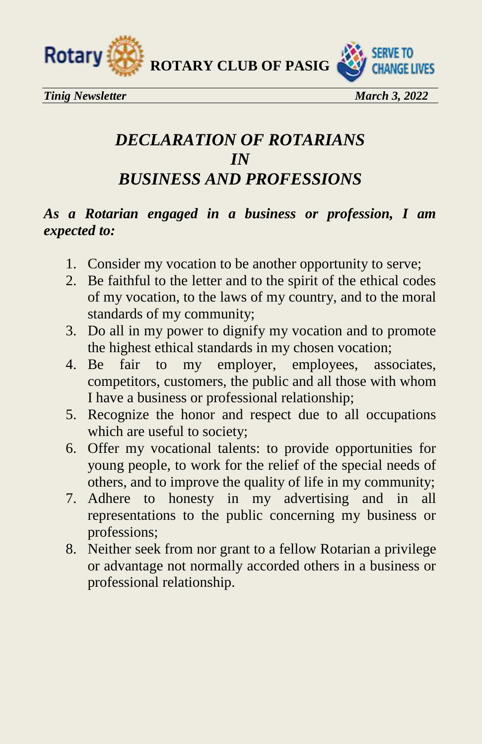



*Tinig Newsletter* March 3, 2022

## *DECLARATION OF ROTARIANS IN BUSINESS AND PROFESSIONS*

#### *As a Rotarian engaged in a business or profession, I am expected to:*

- 1. Consider my vocation to be another opportunity to serve;
- 2. Be faithful to the letter and to the spirit of the ethical codes of my vocation, to the laws of my country, and to the moral standards of my community;
- 3. Do all in my power to dignify my vocation and to promote the highest ethical standards in my chosen vocation;
- 4. Be fair to my employer, employees, associates, competitors, customers, the public and all those with whom I have a business or professional relationship;
- 5. Recognize the honor and respect due to all occupations which are useful to society;
- 6. Offer my vocational talents: to provide opportunities for young people, to work for the relief of the special needs of others, and to improve the quality of life in my community;
- 7. Adhere to honesty in my advertising and in all representations to the public concerning my business or professions;
- 8. Neither seek from nor grant to a fellow Rotarian a privilege or advantage not normally accorded others in a business or professional relationship.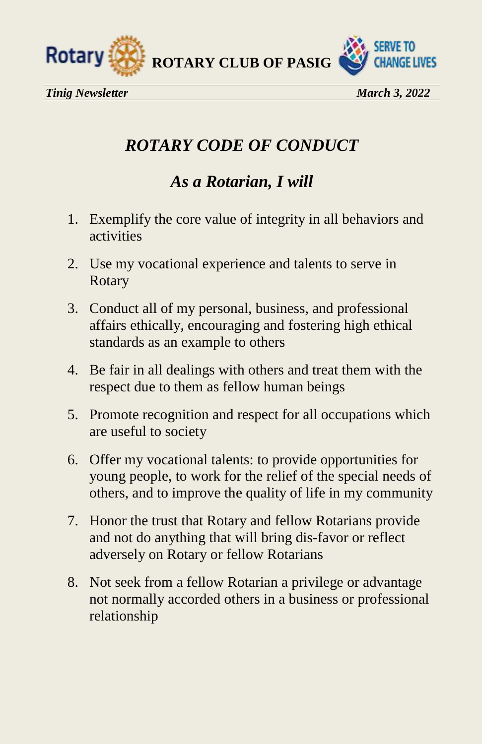



## *ROTARY CODE OF CONDUCT*

## *As a Rotarian, I will*

- 1. Exemplify the core value of integrity in all behaviors and activities
- 2. Use my vocational experience and talents to serve in Rotary
- 3. Conduct all of my personal, business, and professional affairs ethically, encouraging and fostering high ethical standards as an example to others
- 4. Be fair in all dealings with others and treat them with the respect due to them as fellow human beings
- 5. Promote recognition and respect for all occupations which are useful to society
- 6. Offer my vocational talents: to provide opportunities for young people, to work for the relief of the special needs of others, and to improve the quality of life in my community
- 7. Honor the trust that Rotary and fellow Rotarians provide and not do anything that will bring dis-favor or reflect adversely on Rotary or fellow Rotarians
- 8. Not seek from a fellow Rotarian a privilege or advantage not normally accorded others in a business or professional relationship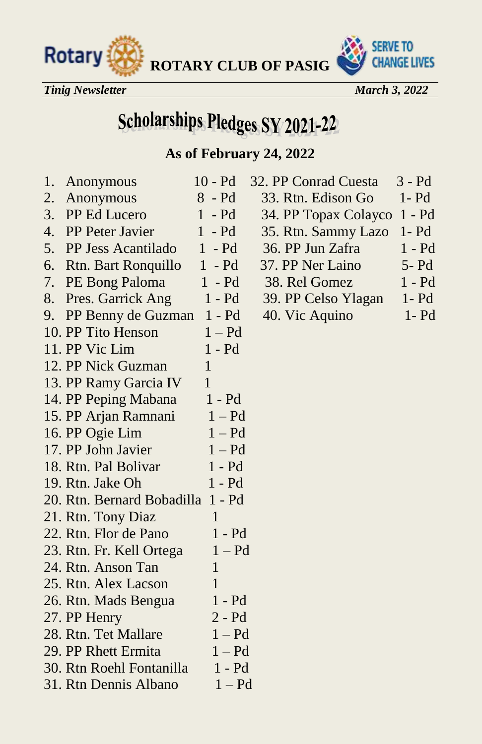



*Tinig Newsletter* March 3, 2022

# **Scholarships Pledges SY 2021-22**

## **As of February 24, 2022**

| 1. | Anonymous                         | $10 - Pd$             | 32. PP Conrad Cuesta | 3 - Pd   |
|----|-----------------------------------|-----------------------|----------------------|----------|
| 2. | Anonymous                         | $8 - Pd$              | 33. Rtn. Edison Go   | $1 - Pd$ |
| 3. | PP Ed Lucero                      | $1 - Pd$              | 34. PP Topax Colayco | $1 - Pd$ |
| 4. | PP Peter Javier                   | $\mathbf{1}$<br>$-Pd$ | 35. Rtn. Sammy Lazo  | $1 - Pd$ |
| 5. | PP Jess Acantilado                | $1 - Pd$              | 36. PP Jun Zafra     | $1 - Pd$ |
| 6. | Rtn. Bart Ronquillo               | $1 - Pd$              | 37. PP Ner Laino     | $5-$ Pd  |
| 7. | PE Bong Paloma                    | $1 - Pd$              | 38. Rel Gomez        | $1 - Pd$ |
| 8. | Pres. Garrick Ang                 | $1 - Pd$              | 39. PP Celso Ylagan  | $1 - Pd$ |
| 9. | PP Benny de Guzman 1 - Pd         |                       | 40. Vic Aquino       | $1 - Pd$ |
|    | 10. PP Tito Henson                | $1 - Pd$              |                      |          |
|    | 11. PP Vic Lim                    | $1 - Pd$              |                      |          |
|    | 12. PP Nick Guzman                | $\mathbf{1}$          |                      |          |
|    | 13. PP Ramy Garcia IV             | $\mathbf{1}$          |                      |          |
|    | 14. PP Peping Mabana              | $1 - Pd$              |                      |          |
|    | 15. PP Arjan Ramnani              | $1 - Pd$              |                      |          |
|    | 16. PP Ogie Lim                   | $1 - Pd$              |                      |          |
|    | 17. PP John Javier                | $1 - Pd$              |                      |          |
|    | 18. Rtn. Pal Bolivar              | 1 - Pd                |                      |          |
|    | 19. Rtn. Jake Oh                  | $1 - Pd$              |                      |          |
|    | 20. Rtn. Bernard Bobadilla 1 - Pd |                       |                      |          |
|    | 21. Rtn. Tony Diaz                | 1                     |                      |          |
|    | 22. Rtn. Flor de Pano             | 1 - Pd                |                      |          |
|    | 23. Rtn. Fr. Kell Ortega          | $1 - Pd$              |                      |          |
|    | 24. Rtn. Anson Tan                | $\mathbf{1}$          |                      |          |
|    | 25. Rtn. Alex Lacson              | 1                     |                      |          |
|    | 26. Rtn. Mads Bengua              | $1 - Pd$              |                      |          |
|    | 27. PP Henry                      | $2 - Pd$              |                      |          |
|    | 28. Rtn. Tet Mallare              | $1 - Pd$              |                      |          |
|    | 29. PP Rhett Ermita               | $1 - Pd$              |                      |          |
|    | 30. Rtn Roehl Fontanilla          | $1 - Pd$              |                      |          |
|    | 31. Rtn Dennis Albano             | $1 - Pd$              |                      |          |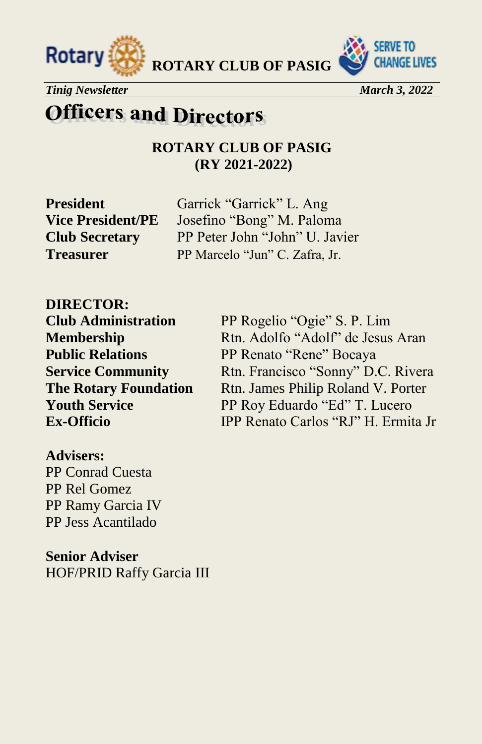



*Tinig Newsletter* March 3, 2022

# **Officers and Directors**

**ROTARY CLUB OF PASIG (RY 2021-2022)**

**President** Garrick "Garrick" L. Ang **Vice President/PE** Josefino "Bong" M. Paloma **Club Secretary** PP Peter John "John" U. Javier **Treasurer** PP Marcelo "Jun" C. Zafra, Jr.

**DIRECTOR:** 

**Club Administration** PP Rogelio "Ogie" S. P. Lim **Membership Rtn. Adolfo "Adolf" de Jesus Aran Public Relations** PP Renato "Rene" Bocaya **Service Community** Rtn. Francisco "Sonny" D.C. Rivera **The Rotary Foundation** Rtn. James Philip Roland V. Porter **Youth Service** PP Roy Eduardo "Ed" T. Lucero **Ex-Officio** IPP Renato Carlos "RJ" H. Ermita Jr

#### **Advisers:**

PP Conrad Cuesta PP Rel Gomez PP Ramy Garcia IV PP Jess Acantilado

**Senior Adviser**  HOF/PRID Raffy Garcia III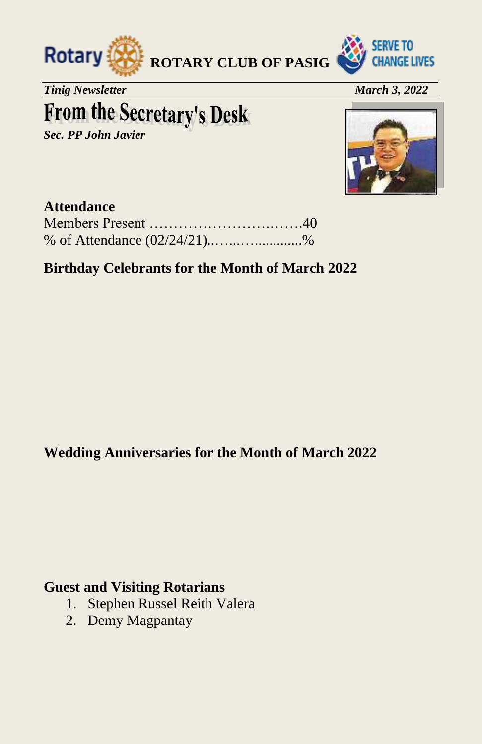



*Tinig Newsletter March 3, 2022* 

# **From the Secretary's Desk**

*Sec. PP John Javier* 



#### **Attendance**

| % of Attendance $(02/24/21)$ % |  |
|--------------------------------|--|

### **Birthday Celebrants for the Month of March 2022**

## **Wedding Anniversaries for the Month of March 2022**

### **Guest and Visiting Rotarians**

- 1. Stephen Russel Reith Valera
- 2. Demy Magpantay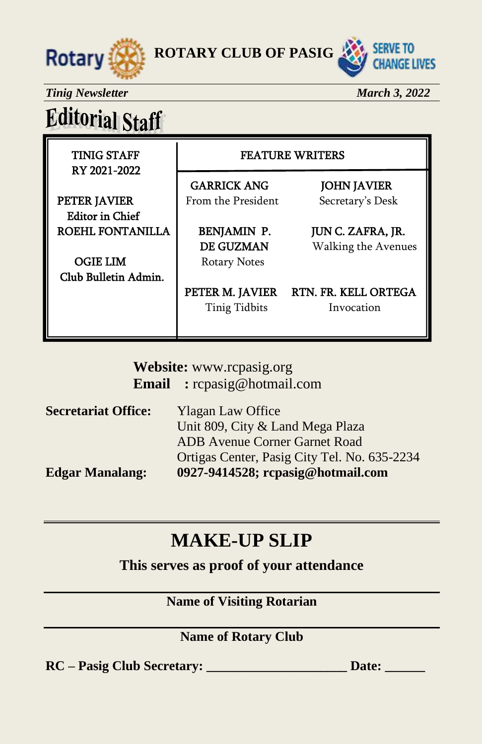



*Tinig Newsletter* March 3, 2022

# **Editorial Staff**

TINIG STAFF FEATURE WRITERS RY 2021-2022

**PETER JAVIER** From the President Secretary's Desk Editor in Chief ROEHL FONTANILLA | BENJAMIN P. JUN C. ZAFRA, JR.

OGIE LIM Rotary Notes Club Bulletin Admin.

GARRICK ANG JOHN JAVIER

DE GUZMAN Walking the Avenues

PETER M. JAVIER RTN. FR. KELL ORTEGA Tinig Tidbits Invocation

**Website:** [www.rcpasig.org](http://www.rcpasig.org/) **Email :** [rcpasig@hotmail.com](mailto:rcpasig@hotmail.com) 

| <b>Secretariat Office:</b> | <b>Ylagan Law Office</b>                     |
|----------------------------|----------------------------------------------|
|                            | Unit 809, City & Land Mega Plaza             |
|                            | <b>ADB</b> Avenue Corner Garnet Road         |
|                            | Ortigas Center, Pasig City Tel. No. 635-2234 |
| <b>Edgar Manalang:</b>     | 0927-9414528; rcpasig@hotmail.com            |

## **MAKE-UP SLIP**

**This serves as proof of your attendance** 

#### **Name of Visiting Rotarian**

#### **Name of Rotary Club**

**RC – Pasig Club Secretary: \_\_\_\_\_\_\_\_\_\_\_\_\_\_\_\_\_\_\_\_\_ Date: \_\_\_\_\_\_**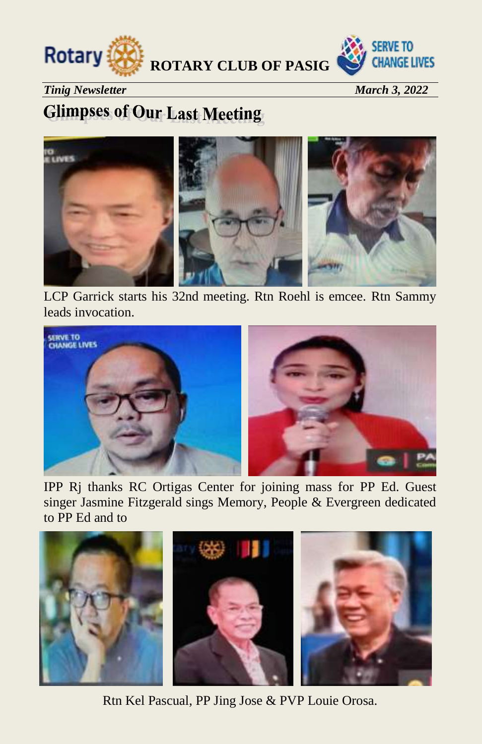



#### *Tinig Newsletter March 3, 2022*

# **Glimpses of Our Last Meeting**



LCP Garrick starts his 32nd meeting. Rtn Roehl is emcee. Rtn Sammy leads invocation.



IPP Rj thanks RC Ortigas Center for joining mass for PP Ed. Guest singer Jasmine Fitzgerald sings Memory, People & Evergreen dedicated to PP Ed and to



Rtn Kel Pascual, PP Jing Jose & PVP Louie Orosa.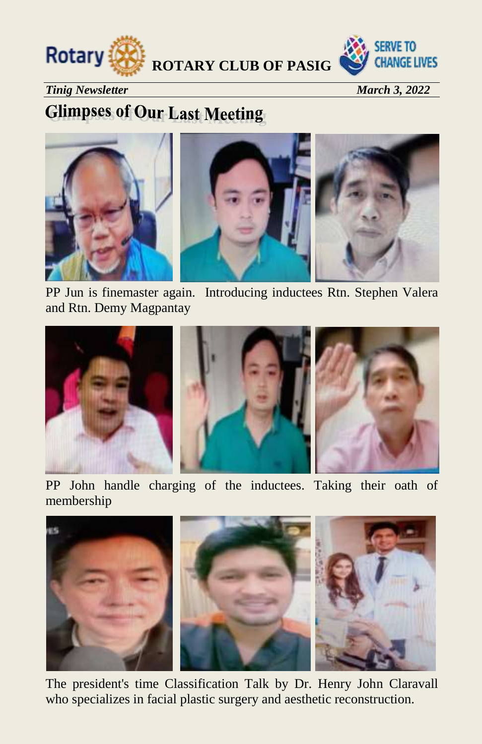



#### *Tinig Newsletter March 3, 2022*

# **Glimpses of Our Last Meeting**



PP Jun is finemaster again. Introducing inductees Rtn. Stephen Valera and Rtn. Demy Magpantay



PP John handle charging of the inductees. Taking their oath of membership



The president's time Classification Talk by Dr. Henry John Claravall who specializes in facial plastic surgery and aesthetic reconstruction.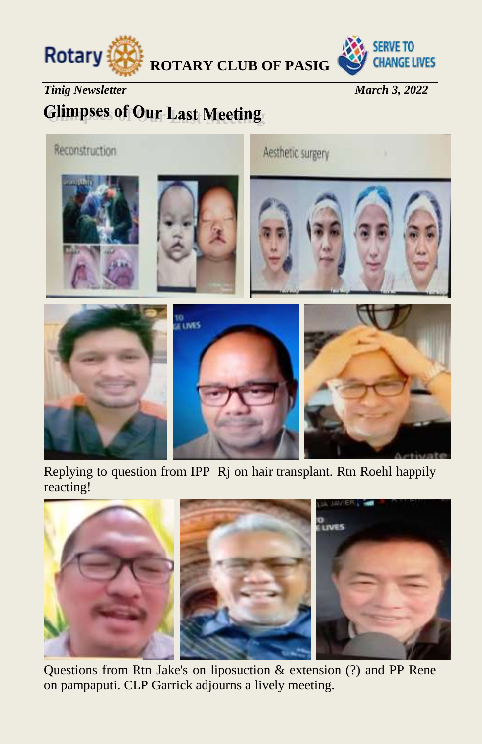



#### *Tinig Newsletter March 3, 2022*

# **Glimpses of Our Last Meeting**



Replying to question from IPP Rj on hair transplant. Rtn Roehl happily reacting!



Questions from Rtn Jake's on liposuction & extension (?) and PP Rene on pampaputi. CLP Garrick adjourns a lively meeting.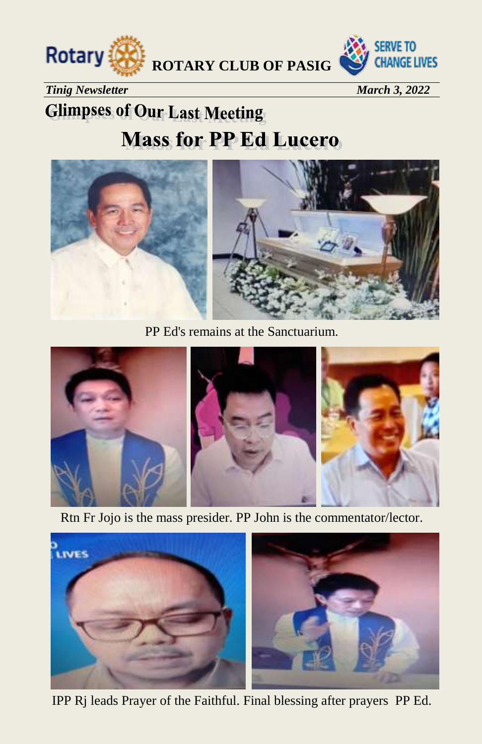



*Tinig Newsletter March 3, 2022* 

# **Glimpses of Our Last Meeting Mass for PP Ed Lucero**



PP Ed's remains at the Sanctuarium.



Rtn Fr Jojo is the mass presider. PP John is the commentator/lector.



IPP Rj leads Prayer of the Faithful. Final blessing after prayers PP Ed.